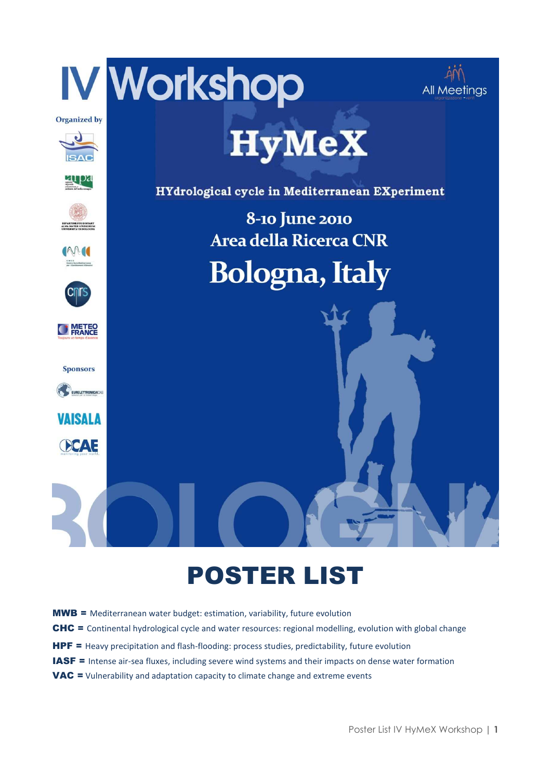

## POSTER LIST

- MWB = Mediterranean water budget: estimation, variability, future evolution
- CHC = Continental hydrological cycle and water resources: regional modelling, evolution with global change
- HPF = Heavy precipitation and flash-flooding: process studies, predictability, future evolution
- IASF = Intense air-sea fluxes, including severe wind systems and their impacts on dense water formation
- VAC = Vulnerability and adaptation capacity to climate change and extreme events

Poster List IV HyMeX Workshop **| 1**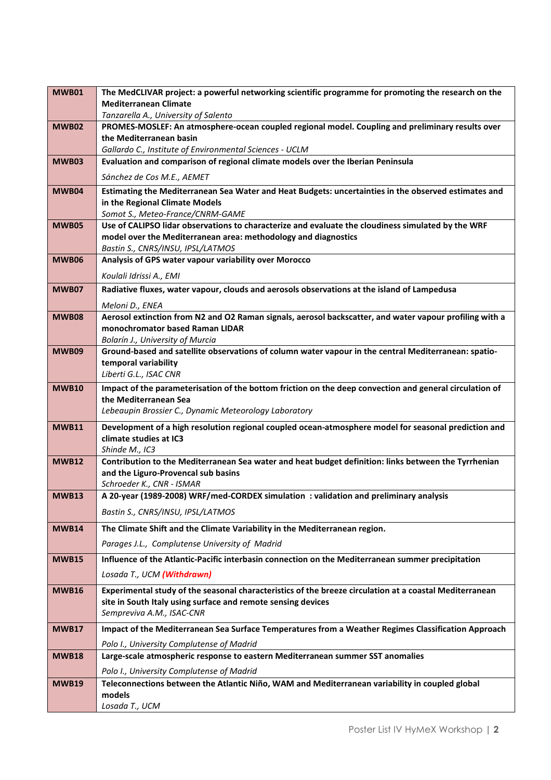| <b>MWB01</b> | The MedCLIVAR project: a powerful networking scientific programme for promoting the research on the                                         |
|--------------|---------------------------------------------------------------------------------------------------------------------------------------------|
|              | <b>Mediterranean Climate</b>                                                                                                                |
|              | Tanzarella A., University of Salento                                                                                                        |
| MWB02        | PROMES-MOSLEF: An atmosphere-ocean coupled regional model. Coupling and preliminary results over                                            |
|              | the Mediterranean basin<br>Gallardo C., Institute of Environmental Sciences - UCLM                                                          |
| MWB03        | Evaluation and comparison of regional climate models over the Iberian Peninsula                                                             |
|              |                                                                                                                                             |
|              | Sánchez de Cos M.E., AEMET                                                                                                                  |
| <b>MWB04</b> | Estimating the Mediterranean Sea Water and Heat Budgets: uncertainties in the observed estimates and                                        |
|              | in the Regional Climate Models<br>Somot S., Meteo-France/CNRM-GAME                                                                          |
| <b>MWB05</b> | Use of CALIPSO lidar observations to characterize and evaluate the cloudiness simulated by the WRF                                          |
|              | model over the Mediterranean area: methodology and diagnostics                                                                              |
|              | Bastin S., CNRS/INSU, IPSL/LATMOS                                                                                                           |
| <b>MWB06</b> | Analysis of GPS water vapour variability over Morocco                                                                                       |
|              | Koulali Idrissi A., EMI                                                                                                                     |
| MWB07        | Radiative fluxes, water vapour, clouds and aerosols observations at the island of Lampedusa                                                 |
|              | Meloni D., ENEA                                                                                                                             |
| <b>MWB08</b> | Aerosol extinction from N2 and O2 Raman signals, aerosol backscatter, and water vapour profiling with a                                     |
|              | monochromator based Raman LIDAR                                                                                                             |
|              | Bolarín J., University of Murcia                                                                                                            |
| <b>MWB09</b> | Ground-based and satellite observations of column water vapour in the central Mediterranean: spatio-<br>temporal variability                |
|              | Liberti G.L., ISAC CNR                                                                                                                      |
| <b>MWB10</b> | Impact of the parameterisation of the bottom friction on the deep convection and general circulation of                                     |
|              | the Mediterranean Sea                                                                                                                       |
|              | Lebeaupin Brossier C., Dynamic Meteorology Laboratory                                                                                       |
| <b>MWB11</b> | Development of a high resolution regional coupled ocean-atmosphere model for seasonal prediction and                                        |
|              | climate studies at IC3                                                                                                                      |
|              | Shinde M., IC3                                                                                                                              |
| <b>MWB12</b> | Contribution to the Mediterranean Sea water and heat budget definition: links between the Tyrrhenian<br>and the Liguro-Provencal sub basins |
|              | Schroeder K., CNR - ISMAR                                                                                                                   |
| <b>MWB13</b> | A 20-year (1989-2008) WRF/med-CORDEX simulation: validation and preliminary analysis                                                        |
|              | Bastin S., CNRS/INSU, IPSL/LATMOS                                                                                                           |
| <b>MWB14</b> | The Climate Shift and the Climate Variability in the Mediterranean region.                                                                  |
|              |                                                                                                                                             |
|              | Parages J.L., Complutense University of Madrid                                                                                              |
| <b>MWB15</b> | Influence of the Atlantic-Pacific interbasin connection on the Mediterranean summer precipitation                                           |
|              | Losada T., UCM (Withdrawn)                                                                                                                  |
| <b>MWB16</b> | Experimental study of the seasonal characteristics of the breeze circulation at a coastal Mediterranean                                     |
|              | site in South Italy using surface and remote sensing devices<br>Sempreviva A.M., ISAC-CNR                                                   |
|              |                                                                                                                                             |
| MWB17        | Impact of the Mediterranean Sea Surface Temperatures from a Weather Regimes Classification Approach                                         |
|              | Polo I., University Complutense of Madrid                                                                                                   |
| <b>MWB18</b> | Large-scale atmospheric response to eastern Mediterranean summer SST anomalies                                                              |
|              | Polo I., University Complutense of Madrid                                                                                                   |
| <b>MWB19</b> | Teleconnections between the Atlantic Niño, WAM and Mediterranean variability in coupled global                                              |
|              | models<br>Losada T., UCM                                                                                                                    |
|              |                                                                                                                                             |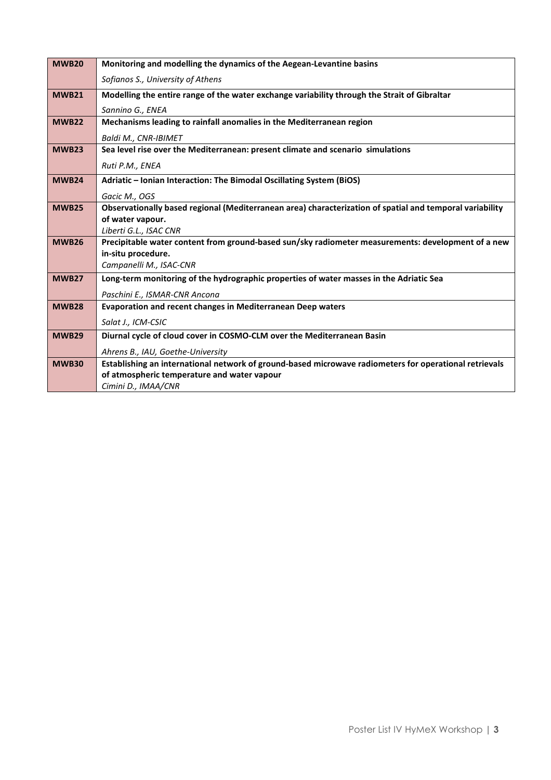| <b>MWB20</b> | Monitoring and modelling the dynamics of the Aegean-Levantine basins                                     |
|--------------|----------------------------------------------------------------------------------------------------------|
|              | Sofianos S., University of Athens                                                                        |
| <b>MWB21</b> | Modelling the entire range of the water exchange variability through the Strait of Gibraltar             |
|              | Sannino G., ENEA                                                                                         |
| <b>MWB22</b> | Mechanisms leading to rainfall anomalies in the Mediterranean region                                     |
|              | Baldi M., CNR-IBIMET                                                                                     |
| <b>MWB23</b> | Sea level rise over the Mediterranean: present climate and scenario simulations                          |
|              | Ruti P.M., ENEA                                                                                          |
| <b>MWB24</b> | Adriatic - Ionian Interaction: The Bimodal Oscillating System (BiOS)                                     |
|              | Gacic M., OGS                                                                                            |
| <b>MWB25</b> | Observationally based regional (Mediterranean area) characterization of spatial and temporal variability |
|              | of water vapour.                                                                                         |
|              | Liberti G.L., ISAC CNR                                                                                   |
| <b>MWB26</b> | Precipitable water content from ground-based sun/sky radiometer measurements: development of a new       |
|              | in-situ procedure.                                                                                       |
|              | Campanelli M., ISAC-CNR                                                                                  |
| <b>MWB27</b> | Long-term monitoring of the hydrographic properties of water masses in the Adriatic Sea                  |
|              | Paschini E., ISMAR-CNR Ancona                                                                            |
| <b>MWB28</b> | Evaporation and recent changes in Mediterranean Deep waters                                              |
|              | Salat J., ICM-CSIC                                                                                       |
| <b>MWB29</b> | Diurnal cycle of cloud cover in COSMO-CLM over the Mediterranean Basin                                   |
|              | Ahrens B., IAU, Goethe-University                                                                        |
| <b>MWB30</b> | Establishing an international network of ground-based microwave radiometers for operational retrievals   |
|              | of atmospheric temperature and water vapour                                                              |
|              | Cimini D., IMAA/CNR                                                                                      |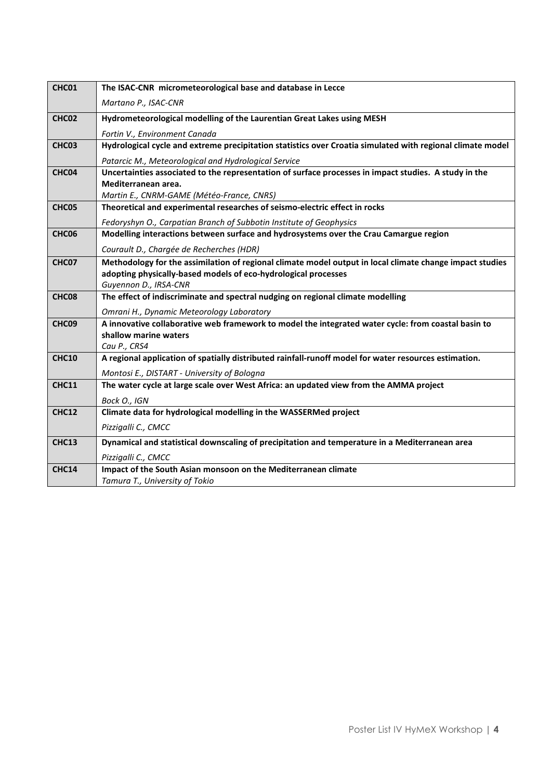| CHC01             | The ISAC-CNR micrometeorological base and database in Lecce                                                |
|-------------------|------------------------------------------------------------------------------------------------------------|
|                   | Martano P., ISAC-CNR                                                                                       |
| CHC <sub>02</sub> | Hydrometeorological modelling of the Laurentian Great Lakes using MESH                                     |
|                   | Fortin V., Environment Canada                                                                              |
| CHC <sub>03</sub> | Hydrological cycle and extreme precipitation statistics over Croatia simulated with regional climate model |
|                   | Patarcic M., Meteorological and Hydrological Service                                                       |
| CHC <sub>04</sub> | Uncertainties associated to the representation of surface processes in impact studies. A study in the      |
|                   | Mediterranean area.                                                                                        |
|                   | Martin E., CNRM-GAME (Météo-France, CNRS)                                                                  |
| CHC <sub>05</sub> | Theoretical and experimental researches of seismo-electric effect in rocks                                 |
|                   | Fedoryshyn O., Carpatian Branch of Subbotin Institute of Geophysics                                        |
| CHC <sub>06</sub> | Modelling interactions between surface and hydrosystems over the Crau Camargue region                      |
|                   | Courault D., Chargée de Recherches (HDR)                                                                   |
| CHC <sub>07</sub> | Methodology for the assimilation of regional climate model output in local climate change impact studies   |
|                   | adopting physically-based models of eco-hydrological processes<br>Guyennon D., IRSA-CNR                    |
| CHC <sub>08</sub> | The effect of indiscriminate and spectral nudging on regional climate modelling                            |
|                   | Omrani H., Dynamic Meteorology Laboratory                                                                  |
| CHC <sub>09</sub> | A innovative collaborative web framework to model the integrated water cycle: from coastal basin to        |
|                   | shallow marine waters                                                                                      |
|                   | Cau P., CRS4                                                                                               |
| <b>CHC10</b>      | A regional application of spatially distributed rainfall-runoff model for water resources estimation.      |
|                   | Montosi E., DISTART - University of Bologna                                                                |
| <b>CHC11</b>      | The water cycle at large scale over West Africa: an updated view from the AMMA project                     |
|                   | Bock O., IGN                                                                                               |
| <b>CHC12</b>      | Climate data for hydrological modelling in the WASSERMed project                                           |
|                   | Pizzigalli C., CMCC                                                                                        |
| CHC13             | Dynamical and statistical downscaling of precipitation and temperature in a Mediterranean area             |
|                   | Pizzigalli C., CMCC                                                                                        |
| <b>CHC14</b>      | Impact of the South Asian monsoon on the Mediterranean climate                                             |
|                   | Tamura T., University of Tokio                                                                             |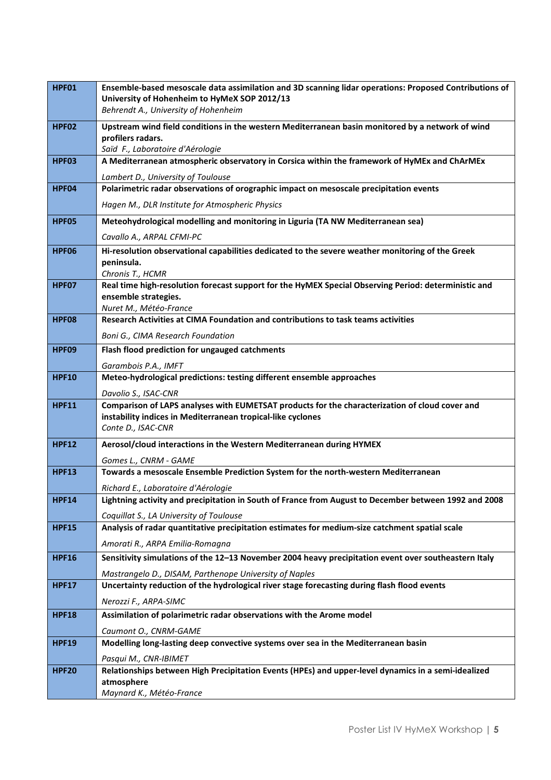| HPF01        | Ensemble-based mesoscale data assimilation and 3D scanning lidar operations: Proposed Contributions of<br>University of Hohenheim to HyMeX SOP 2012/13<br>Behrendt A., University of Hohenheim |
|--------------|------------------------------------------------------------------------------------------------------------------------------------------------------------------------------------------------|
| <b>HPF02</b> | Upstream wind field conditions in the western Mediterranean basin monitored by a network of wind<br>profilers radars.<br>Saïd F., Laboratoire d'Aérologie                                      |
| <b>HPF03</b> | A Mediterranean atmospheric observatory in Corsica within the framework of HyMEx and ChArMEx<br>Lambert D., University of Toulouse                                                             |
| HPF04        | Polarimetric radar observations of orographic impact on mesoscale precipitation events                                                                                                         |
|              | Hagen M., DLR Institute for Atmospheric Physics                                                                                                                                                |
| HPF05        | Meteohydrological modelling and monitoring in Liguria (TA NW Mediterranean sea)                                                                                                                |
|              | Cavallo A., ARPAL CFMI-PC                                                                                                                                                                      |
| HPF06        | Hi-resolution observational capabilities dedicated to the severe weather monitoring of the Greek                                                                                               |
|              | peninsula.                                                                                                                                                                                     |
| HPF07        | Chronis T., HCMR<br>Real time high-resolution forecast support for the HyMEX Special Observing Period: deterministic and                                                                       |
|              | ensemble strategies.                                                                                                                                                                           |
|              | Nuret M., Météo-France<br>Research Activities at CIMA Foundation and contributions to task teams activities                                                                                    |
| <b>HPF08</b> |                                                                                                                                                                                                |
| <b>HPF09</b> | Boni G., CIMA Research Foundation                                                                                                                                                              |
|              | Flash flood prediction for ungauged catchments                                                                                                                                                 |
| <b>HPF10</b> | Garambois P.A., IMFT<br>Meteo-hydrological predictions: testing different ensemble approaches                                                                                                  |
|              | Davolio S., ISAC-CNR                                                                                                                                                                           |
| <b>HPF11</b> | Comparison of LAPS analyses with EUMETSAT products for the characterization of cloud cover and                                                                                                 |
|              | instability indices in Mediterranean tropical-like cyclones<br>Conte D., ISAC-CNR                                                                                                              |
|              |                                                                                                                                                                                                |
| <b>HPF12</b> | Aerosol/cloud interactions in the Western Mediterranean during HYMEX                                                                                                                           |
| <b>HPF13</b> | Gomes L., CNRM - GAME<br>Towards a mesoscale Ensemble Prediction System for the north-western Mediterranean                                                                                    |
|              | Richard E., Laboratoire d'Aérologie                                                                                                                                                            |
| <b>HPF14</b> | Lightning activity and precipitation in South of France from August to December between 1992 and 2008                                                                                          |
|              | Coquillat S., LA University of Toulouse                                                                                                                                                        |
| <b>HPF15</b> | Analysis of radar quantitative precipitation estimates for medium-size catchment spatial scale                                                                                                 |
|              | Amorati R., ARPA Emilia-Romagna                                                                                                                                                                |
| <b>HPF16</b> | Sensitivity simulations of the 12-13 November 2004 heavy precipitation event over southeastern Italy                                                                                           |
|              | Mastrangelo D., DISAM, Parthenope University of Naples                                                                                                                                         |
| <b>HPF17</b> | Uncertainty reduction of the hydrological river stage forecasting during flash flood events                                                                                                    |
|              | Nerozzi F., ARPA-SIMC                                                                                                                                                                          |
| <b>HPF18</b> | Assimilation of polarimetric radar observations with the Arome model                                                                                                                           |
|              | Caumont O., CNRM-GAME                                                                                                                                                                          |
| <b>HPF19</b> | Modelling long-lasting deep convective systems over sea in the Mediterranean basin                                                                                                             |
| <b>HPF20</b> | Pasqui M., CNR-IBIMET<br>Relationships between High Precipitation Events (HPEs) and upper-level dynamics in a semi-idealized                                                                   |
|              | atmosphere                                                                                                                                                                                     |
|              | Maynard K., Météo-France                                                                                                                                                                       |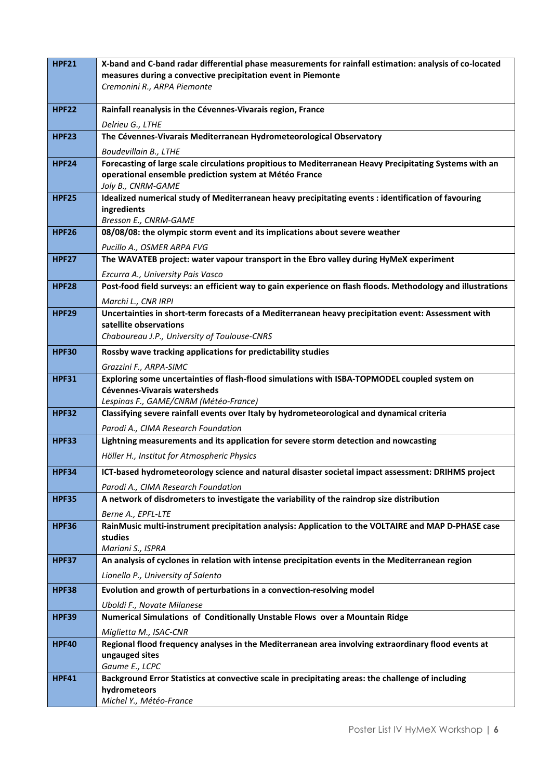| <b>HPF21</b> | X-band and C-band radar differential phase measurements for rainfall estimation: analysis of co-located                          |
|--------------|----------------------------------------------------------------------------------------------------------------------------------|
|              | measures during a convective precipitation event in Piemonte                                                                     |
|              | Cremonini R., ARPA Piemonte                                                                                                      |
| <b>HPF22</b> | Rainfall reanalysis in the Cévennes-Vivarais region, France                                                                      |
|              | Delrieu G., LTHE                                                                                                                 |
| <b>HPF23</b> | The Cévennes-Vivarais Mediterranean Hydrometeorological Observatory                                                              |
|              |                                                                                                                                  |
| <b>HPF24</b> | Boudevillain B., LTHE<br>Forecasting of large scale circulations propitious to Mediterranean Heavy Precipitating Systems with an |
|              | operational ensemble prediction system at Météo France                                                                           |
|              | Joly B., CNRM-GAME                                                                                                               |
| <b>HPF25</b> | Idealized numerical study of Mediterranean heavy precipitating events : identification of favouring                              |
|              | ingredients                                                                                                                      |
| <b>HPF26</b> | Bresson E., CNRM-GAME<br>08/08/08: the olympic storm event and its implications about severe weather                             |
|              |                                                                                                                                  |
| <b>HPF27</b> | Pucillo A., OSMER ARPA FVG<br>The WAVATEB project: water vapour transport in the Ebro valley during HyMeX experiment             |
|              | Ezcurra A., University Pais Vasco                                                                                                |
| <b>HPF28</b> | Post-food field surveys: an efficient way to gain experience on flash floods. Methodology and illustrations                      |
|              | Marchi L., CNR IRPI                                                                                                              |
| <b>HPF29</b> | Uncertainties in short-term forecasts of a Mediterranean heavy precipitation event: Assessment with                              |
|              | satellite observations                                                                                                           |
|              | Chaboureau J.P., University of Toulouse-CNRS                                                                                     |
| <b>HPF30</b> | Rossby wave tracking applications for predictability studies                                                                     |
|              | Grazzini F., ARPA-SIMC                                                                                                           |
| <b>HPF31</b> | Exploring some uncertainties of flash-flood simulations with ISBA-TOPMODEL coupled system on                                     |
|              | Cévennes-Vivarais watersheds                                                                                                     |
|              | Lespinas F., GAME/CNRM (Météo-France)                                                                                            |
| <b>HPF32</b> | Classifying severe rainfall events over Italy by hydrometeorological and dynamical criteria                                      |
|              | Parodi A., CIMA Research Foundation                                                                                              |
| <b>HPF33</b> | Lightning measurements and its application for severe storm detection and nowcasting                                             |
|              | Höller H., Institut for Atmospheric Physics                                                                                      |
| <b>HPF34</b> | ICT-based hydrometeorology science and natural disaster societal impact assessment: DRIHMS project                               |
|              | Parodi A., CIMA Research Foundation                                                                                              |
| <b>HPF35</b> | A network of disdrometers to investigate the variability of the raindrop size distribution                                       |
|              | Berne A., EPFL-LTE                                                                                                               |
| <b>HPF36</b> | RainMusic multi-instrument precipitation analysis: Application to the VOLTAIRE and MAP D-PHASE case<br>studies                   |
|              | Mariani S., ISPRA                                                                                                                |
| <b>HPF37</b> | An analysis of cyclones in relation with intense precipitation events in the Mediterranean region                                |
|              | Lionello P., University of Salento                                                                                               |
| <b>HPF38</b> | Evolution and growth of perturbations in a convection-resolving model                                                            |
|              | Uboldi F., Novate Milanese                                                                                                       |
| <b>HPF39</b> | Numerical Simulations of Conditionally Unstable Flows over a Mountain Ridge                                                      |
|              | Miglietta M., ISAC-CNR                                                                                                           |
| <b>HPF40</b> | Regional flood frequency analyses in the Mediterranean area involving extraordinary flood events at                              |
|              | ungauged sites                                                                                                                   |
|              | Gaume E., LCPC                                                                                                                   |
| <b>HPF41</b> | Background Error Statistics at convective scale in precipitating areas: the challenge of including                               |
|              | hydrometeors<br>Michel Y., Météo-France                                                                                          |
|              |                                                                                                                                  |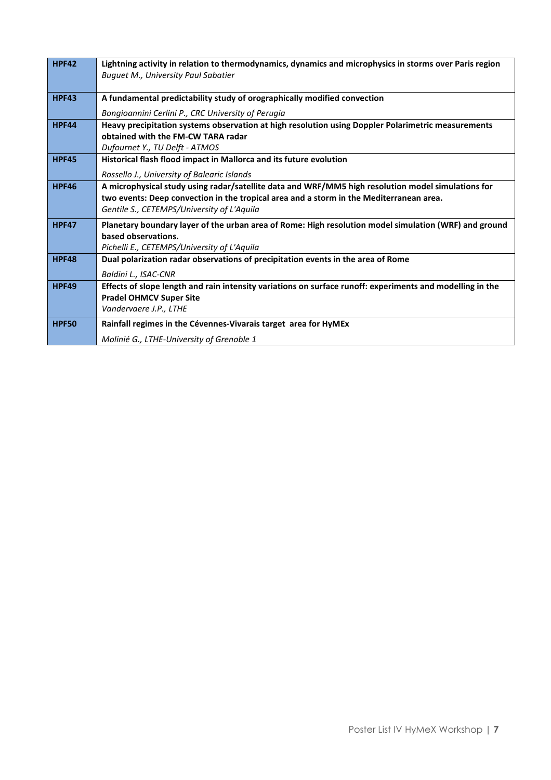| <b>HPF42</b> | Lightning activity in relation to thermodynamics, dynamics and microphysics in storms over Paris region   |
|--------------|-----------------------------------------------------------------------------------------------------------|
|              | <b>Buguet M., University Paul Sabatier</b>                                                                |
| <b>HPF43</b> | A fundamental predictability study of orographically modified convection                                  |
|              |                                                                                                           |
|              | Bongioannini Cerlini P., CRC University of Perugia                                                        |
| <b>HPF44</b> | Heavy precipitation systems observation at high resolution using Doppler Polarimetric measurements        |
|              | obtained with the FM-CW TARA radar                                                                        |
|              | Dufournet Y., TU Delft - ATMOS                                                                            |
| <b>HPF45</b> | Historical flash flood impact in Mallorca and its future evolution                                        |
|              | Rossello J., University of Balearic Islands                                                               |
| <b>HPF46</b> | A microphysical study using radar/satellite data and WRF/MM5 high resolution model simulations for        |
|              | two events: Deep convection in the tropical area and a storm in the Mediterranean area.                   |
|              | Gentile S., CETEMPS/University of L'Aquila                                                                |
| <b>HPF47</b> | Planetary boundary layer of the urban area of Rome: High resolution model simulation (WRF) and ground     |
|              | based observations.                                                                                       |
|              | Pichelli E., CETEMPS/University of L'Aquila                                                               |
| <b>HPF48</b> | Dual polarization radar observations of precipitation events in the area of Rome                          |
|              | Baldini L., ISAC-CNR                                                                                      |
| <b>HPF49</b> | Effects of slope length and rain intensity variations on surface runoff: experiments and modelling in the |
|              | <b>Pradel OHMCV Super Site</b>                                                                            |
|              | Vandervaere J.P., LTHE                                                                                    |
| <b>HPF50</b> | Rainfall regimes in the Cévennes-Vivarais target area for HyMEx                                           |
|              | Molinié G., LTHE-University of Grenoble 1                                                                 |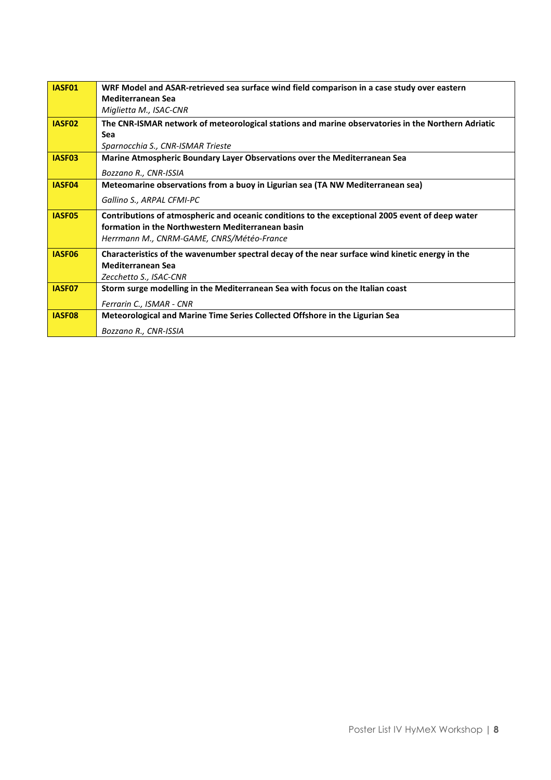| IASF01             | WRF Model and ASAR-retrieved sea surface wind field comparison in a case study over eastern        |
|--------------------|----------------------------------------------------------------------------------------------------|
|                    | <b>Mediterranean Sea</b>                                                                           |
|                    | Miglietta M., ISAC-CNR                                                                             |
| IASF <sub>02</sub> | The CNR-ISMAR network of meteorological stations and marine observatories in the Northern Adriatic |
|                    | Sea                                                                                                |
|                    | Sparnocchia S., CNR-ISMAR Trieste                                                                  |
| IASF <sub>03</sub> | Marine Atmospheric Boundary Layer Observations over the Mediterranean Sea                          |
|                    | Bozzano R., CNR-ISSIA                                                                              |
| IASF04             | Meteomarine observations from a buoy in Ligurian sea (TA NW Mediterranean sea)                     |
|                    | Gallino S., ARPAL CFMI-PC                                                                          |
| IASF05             | Contributions of atmospheric and oceanic conditions to the exceptional 2005 event of deep water    |
|                    | formation in the Northwestern Mediterranean basin                                                  |
|                    | Herrmann M., CNRM-GAME, CNRS/Météo-France                                                          |
| IASF06             | Characteristics of the wavenumber spectral decay of the near surface wind kinetic energy in the    |
|                    | <b>Mediterranean Sea</b>                                                                           |
|                    | Zecchetto S., ISAC-CNR                                                                             |
| IASF07             | Storm surge modelling in the Mediterranean Sea with focus on the Italian coast                     |
|                    | Ferrarin C., ISMAR - CNR                                                                           |
| IASF08             | Meteorological and Marine Time Series Collected Offshore in the Ligurian Sea                       |
|                    | Bozzano R., CNR-ISSIA                                                                              |